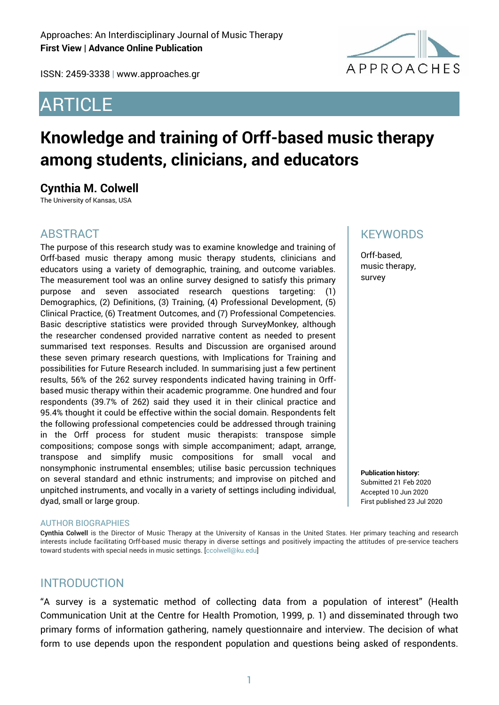ISSN: 2459-3338 | www.approaches.gr

# **ARTICLE**



# **Knowledge and training of Orff-based music therapy among students, clinicians, and educators**

# **Cynthia M. Colwell**

The University of Kansas, USA

### **ABSTRACT**

The purpose of this research study was to examine knowledge and training of Orff-based music therapy among music therapy students, clinicians and educators using a variety of demographic, training, and outcome variables. The measurement tool was an online survey designed to satisfy this primary purpose and seven associated research questions targeting: (1) Demographics, (2) Definitions, (3) Training, (4) Professional Development, (5) Clinical Practice, (6) Treatment Outcomes, and (7) Professional Competencies*.*  Basic descriptive statistics were provided through SurveyMonkey, although the researcher condensed provided narrative content as needed to present summarised text responses. Results and Discussion are organised around these seven primary research questions, with Implications for Training and possibilities for Future Research included. In summarising just a few pertinent results, 56% of the 262 survey respondents indicated having training in Orffbased music therapy within their academic programme. One hundred and four respondents (39.7% of 262) said they used it in their clinical practice and 95.4% thought it could be effective within the social domain. Respondents felt the following professional competencies could be addressed through training in the Orff process for student music therapists: transpose simple compositions; compose songs with simple accompaniment; adapt, arrange, transpose and simplify music compositions for small vocal and nonsymphonic instrumental ensembles; utilise basic percussion techniques on several standard and ethnic instruments; and improvise on pitched and unpitched instruments, and vocally in a variety of settings including individual, dyad, small or large group.

# **KEYWORDS**

Orff-based, music therapy, survey

**Publication history:**  Submitted 21 Feb 2020 Accepted 10 Jun 2020 First published 23 Jul 2020

#### AUTHOR BIOGRAPHIES

**Cynthia Colwell** is the Director of Music Therapy at the University of Kansas in the United States. Her primary teaching and research interests include facilitating Orff-based music therapy in diverse settings and positively impacting the attitudes of pre-service teachers toward students with special needs in music settings. [ccolwell@ku.edu]

### INTRODUCTION

"A survey is a systematic method of collecting data from a population of interest" (Health Communication Unit at the Centre for Health Promotion, 1999, p. 1) and disseminated through two primary forms of information gathering, namely questionnaire and interview. The decision of what form to use depends upon the respondent population and questions being asked of respondents.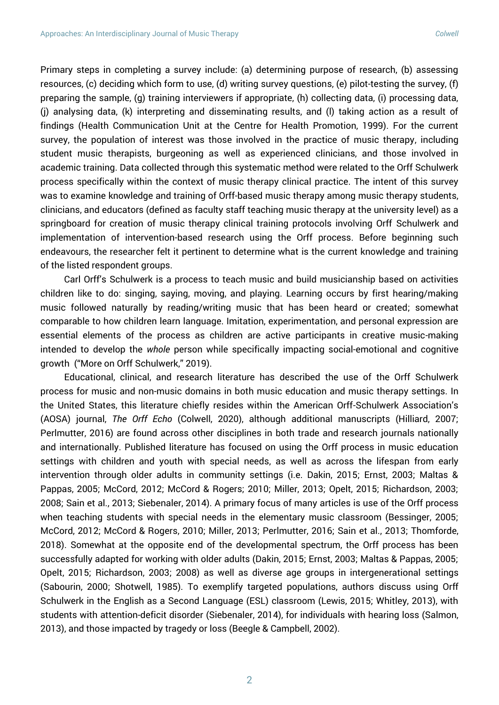Primary steps in completing a survey include: (a) determining purpose of research, (b) assessing resources, (c) deciding which form to use, (d) writing survey questions, (e) pilot-testing the survey, (f) preparing the sample, (g) training interviewers if appropriate, (h) collecting data, (i) processing data, (j) analysing data, (k) interpreting and disseminating results, and (l) taking action as a result of findings (Health Communication Unit at the Centre for Health Promotion, 1999). For the current survey, the population of interest was those involved in the practice of music therapy, including student music therapists, burgeoning as well as experienced clinicians, and those involved in academic training. Data collected through this systematic method were related to the Orff Schulwerk process specifically within the context of music therapy clinical practice. The intent of this survey was to examine knowledge and training of Orff-based music therapy among music therapy students, clinicians, and educators (defined as faculty staff teaching music therapy at the university level) as a springboard for creation of music therapy clinical training protocols involving Orff Schulwerk and implementation of intervention-based research using the Orff process. Before beginning such endeavours, the researcher felt it pertinent to determine what is the current knowledge and training of the listed respondent groups.

Carl Orff's Schulwerk is a process to teach music and build musicianship based on activities children like to do: singing, saying, moving, and playing. Learning occurs by first hearing/making music followed naturally by reading/writing music that has been heard or created; somewhat comparable to how children learn language. Imitation, experimentation, and personal expression are essential elements of the process as children are active participants in creative music-making intended to develop the *whole* person while specifically impacting social-emotional and cognitive growth ("More on Orff Schulwerk," 2019).

Educational, clinical, and research literature has described the use of the Orff Schulwerk process for music and non-music domains in both music education and music therapy settings. In the United States, this literature chiefly resides within the American Orff-Schulwerk Association's (AOSA) journal, *The Orff Echo* (Colwell, 2020), although additional manuscripts (Hilliard, 2007; Perlmutter, 2016) are found across other disciplines in both trade and research journals nationally and internationally. Published literature has focused on using the Orff process in music education settings with children and youth with special needs, as well as across the lifespan from early intervention through older adults in community settings (i.e. Dakin, 2015; Ernst, 2003; Maltas & Pappas, 2005; McCord, 2012; McCord & Rogers; 2010; Miller, 2013; Opelt, 2015; Richardson, 2003; 2008; Sain et al., 2013; Siebenaler, 2014). A primary focus of many articles is use of the Orff process when teaching students with special needs in the elementary music classroom (Bessinger, 2005; McCord, 2012; McCord & Rogers, 2010; Miller, 2013; Perlmutter, 2016; Sain et al., 2013; Thomforde, 2018). Somewhat at the opposite end of the developmental spectrum, the Orff process has been successfully adapted for working with older adults (Dakin, 2015; Ernst, 2003; Maltas & Pappas, 2005; Opelt, 2015; Richardson, 2003; 2008) as well as diverse age groups in intergenerational settings (Sabourin, 2000; Shotwell, 1985). To exemplify targeted populations, authors discuss using Orff Schulwerk in the English as a Second Language (ESL) classroom (Lewis, 2015; Whitley, 2013), with students with attention-deficit disorder (Siebenaler, 2014), for individuals with hearing loss (Salmon, 2013), and those impacted by tragedy or loss (Beegle & Campbell, 2002).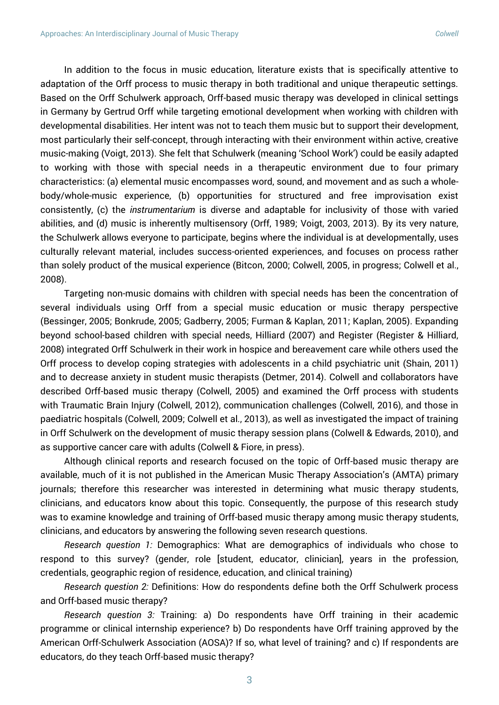In addition to the focus in music education, literature exists that is specifically attentive to adaptation of the Orff process to music therapy in both traditional and unique therapeutic settings. Based on the Orff Schulwerk approach, Orff-based music therapy was developed in clinical settings in Germany by Gertrud Orff while targeting emotional development when working with children with developmental disabilities. Her intent was not to teach them music but to support their development, most particularly their self-concept, through interacting with their environment within active, creative music-making (Voigt, 2013). She felt that Schulwerk (meaning 'School Work') could be easily adapted to working with those with special needs in a therapeutic environment due to four primary characteristics: (a) elemental music encompasses word, sound, and movement and as such a wholebody/whole-music experience, (b) opportunities for structured and free improvisation exist consistently, (c) the *instrumentarium* is diverse and adaptable for inclusivity of those with varied abilities, and (d) music is inherently multisensory (Orff, 1989; Voigt, 2003, 2013). By its very nature, the Schulwerk allows everyone to participate, begins where the individual is at developmentally, uses culturally relevant material, includes success-oriented experiences, and focuses on process rather than solely product of the musical experience (Bitcon, 2000; Colwell, 2005, in progress; Colwell et al., 2008).

Targeting non-music domains with children with special needs has been the concentration of several individuals using Orff from a special music education or music therapy perspective (Bessinger, 2005; Bonkrude, 2005; Gadberry, 2005; Furman & Kaplan, 2011; Kaplan, 2005). Expanding beyond school-based children with special needs, Hilliard (2007) and Register (Register & Hilliard, 2008) integrated Orff Schulwerk in their work in hospice and bereavement care while others used the Orff process to develop coping strategies with adolescents in a child psychiatric unit (Shain, 2011) and to decrease anxiety in student music therapists (Detmer, 2014). Colwell and collaborators have described Orff-based music therapy (Colwell, 2005) and examined the Orff process with students with Traumatic Brain Injury (Colwell, 2012), communication challenges (Colwell, 2016), and those in paediatric hospitals (Colwell, 2009; Colwell et al., 2013), as well as investigated the impact of training in Orff Schulwerk on the development of music therapy session plans (Colwell & Edwards, 2010), and as supportive cancer care with adults (Colwell & Fiore, in press).

Although clinical reports and research focused on the topic of Orff-based music therapy are available, much of it is not published in the American Music Therapy Association's (AMTA) primary journals; therefore this researcher was interested in determining what music therapy students, clinicians, and educators know about this topic. Consequently, the purpose of this research study was to examine knowledge and training of Orff-based music therapy among music therapy students, clinicians, and educators by answering the following seven research questions.

*Research question 1:* Demographics: What are demographics of individuals who chose to respond to this survey? (gender, role [student, educator, clinician], years in the profession, credentials, geographic region of residence, education, and clinical training)

*Research question 2:* Definitions: How do respondents define both the Orff Schulwerk process and Orff-based music therapy?

*Research question 3:* Training: a) Do respondents have Orff training in their academic programme or clinical internship experience? b) Do respondents have Orff training approved by the American Orff-Schulwerk Association (AOSA)? If so, what level of training? and c) If respondents are educators, do they teach Orff-based music therapy?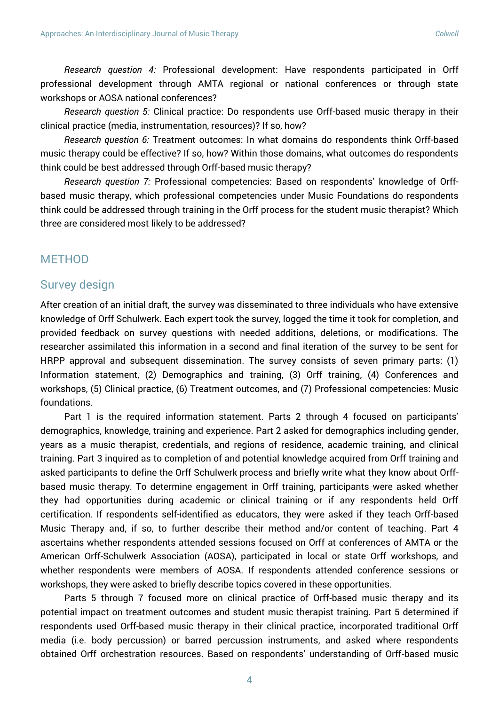*Research question 4:* Professional development: Have respondents participated in Orff professional development through AMTA regional or national conferences or through state workshops or AOSA national conferences?

*Research question 5:* Clinical practice: Do respondents use Orff-based music therapy in their clinical practice (media, instrumentation, resources)? If so, how?

*Research question 6:* Treatment outcomes: In what domains do respondents think Orff-based music therapy could be effective? If so, how? Within those domains, what outcomes do respondents think could be best addressed through Orff-based music therapy?

*Research question 7:* Professional competencies: Based on respondents' knowledge of Orffbased music therapy, which professional competencies under Music Foundations do respondents think could be addressed through training in the Orff process for the student music therapist? Which three are considered most likely to be addressed?

### **METHOD**

### Survey design

After creation of an initial draft, the survey was disseminated to three individuals who have extensive knowledge of Orff Schulwerk. Each expert took the survey, logged the time it took for completion, and provided feedback on survey questions with needed additions, deletions, or modifications. The researcher assimilated this information in a second and final iteration of the survey to be sent for HRPP approval and subsequent dissemination. The survey consists of seven primary parts: (1) Information statement, (2) Demographics and training, (3) Orff training, (4) Conferences and workshops, (5) Clinical practice, (6) Treatment outcomes, and (7) Professional competencies: Music foundations.

Part 1 is the required information statement. Parts 2 through 4 focused on participants' demographics, knowledge, training and experience. Part 2 asked for demographics including gender, years as a music therapist, credentials, and regions of residence, academic training, and clinical training. Part 3 inquired as to completion of and potential knowledge acquired from Orff training and asked participants to define the Orff Schulwerk process and briefly write what they know about Orffbased music therapy. To determine engagement in Orff training, participants were asked whether they had opportunities during academic or clinical training or if any respondents held Orff certification. If respondents self-identified as educators, they were asked if they teach Orff-based Music Therapy and, if so, to further describe their method and/or content of teaching. Part 4 ascertains whether respondents attended sessions focused on Orff at conferences of AMTA or the American Orff-Schulwerk Association (AOSA), participated in local or state Orff workshops, and whether respondents were members of AOSA. If respondents attended conference sessions or workshops, they were asked to briefly describe topics covered in these opportunities.

Parts 5 through 7 focused more on clinical practice of Orff-based music therapy and its potential impact on treatment outcomes and student music therapist training. Part 5 determined if respondents used Orff-based music therapy in their clinical practice, incorporated traditional Orff media (i.e. body percussion) or barred percussion instruments, and asked where respondents obtained Orff orchestration resources. Based on respondents' understanding of Orff-based music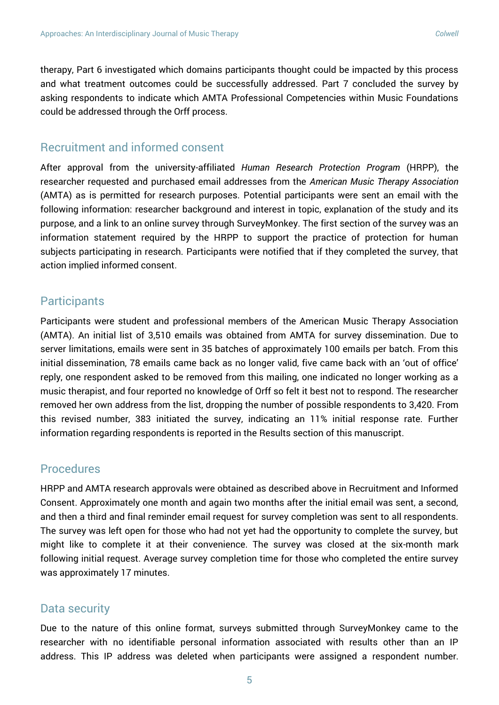therapy, Part 6 investigated which domains participants thought could be impacted by this process and what treatment outcomes could be successfully addressed. Part 7 concluded the survey by asking respondents to indicate which AMTA Professional Competencies within Music Foundations could be addressed through the Orff process.

## Recruitment and informed consent

After approval from the university-affiliated *Human Research Protection Program* (HRPP), the researcher requested and purchased email addresses from the *American Music Therapy Association* (AMTA) as is permitted for research purposes. Potential participants were sent an email with the following information: researcher background and interest in topic, explanation of the study and its purpose, and a link to an online survey through SurveyMonkey. The first section of the survey was an information statement required by the HRPP to support the practice of protection for human subjects participating in research. Participants were notified that if they completed the survey, that action implied informed consent.

# **Participants**

Participants were student and professional members of the American Music Therapy Association (AMTA). An initial list of 3,510 emails was obtained from AMTA for survey dissemination. Due to server limitations, emails were sent in 35 batches of approximately 100 emails per batch. From this initial dissemination, 78 emails came back as no longer valid, five came back with an 'out of office' reply, one respondent asked to be removed from this mailing, one indicated no longer working as a music therapist, and four reported no knowledge of Orff so felt it best not to respond. The researcher removed her own address from the list, dropping the number of possible respondents to 3,420. From this revised number, 383 initiated the survey, indicating an 11% initial response rate. Further information regarding respondents is reported in the Results section of this manuscript.

### **Procedures**

HRPP and AMTA research approvals were obtained as described above in Recruitment and Informed Consent. Approximately one month and again two months after the initial email was sent, a second, and then a third and final reminder email request for survey completion was sent to all respondents. The survey was left open for those who had not yet had the opportunity to complete the survey, but might like to complete it at their convenience. The survey was closed at the six-month mark following initial request. Average survey completion time for those who completed the entire survey was approximately 17 minutes.

# Data security

Due to the nature of this online format, surveys submitted through SurveyMonkey came to the researcher with no identifiable personal information associated with results other than an IP address. This IP address was deleted when participants were assigned a respondent number.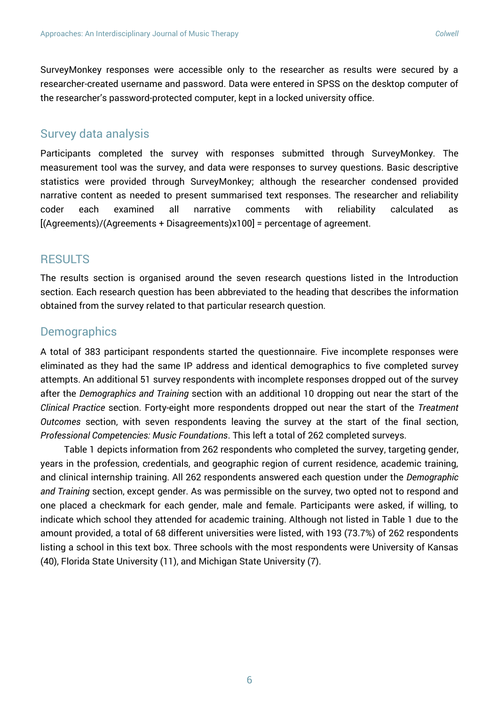SurveyMonkey responses were accessible only to the researcher as results were secured by a researcher-created username and password. Data were entered in SPSS on the desktop computer of the researcher's password-protected computer, kept in a locked university office.

# Survey data analysis

Participants completed the survey with responses submitted through SurveyMonkey*.* The measurement tool was the survey, and data were responses to survey questions. Basic descriptive statistics were provided through SurveyMonkey; although the researcher condensed provided narrative content as needed to present summarised text responses. The researcher and reliability coder each examined all narrative comments with reliability calculated as [(Agreements)/(Agreements + Disagreements)x100] = percentage of agreement.

# **RESULTS**

The results section is organised around the seven research questions listed in the Introduction section. Each research question has been abbreviated to the heading that describes the information obtained from the survey related to that particular research question.

# **Demographics**

A total of 383 participant respondents started the questionnaire. Five incomplete responses were eliminated as they had the same IP address and identical demographics to five completed survey attempts. An additional 51 survey respondents with incomplete responses dropped out of the survey after the *Demographics and Training* section with an additional 10 dropping out near the start of the *Clinical Practice* section. Forty-eight more respondents dropped out near the start of the *Treatment Outcomes* section, with seven respondents leaving the survey at the start of the final section, *Professional Competencies: Music Foundations*. This left a total of 262 completed surveys.

Table 1 depicts information from 262 respondents who completed the survey, targeting gender, years in the profession, credentials, and geographic region of current residence, academic training, and clinical internship training. All 262 respondents answered each question under the *Demographic and Training* section, except gender. As was permissible on the survey, two opted not to respond and one placed a checkmark for each gender, male and female. Participants were asked, if willing, to indicate which school they attended for academic training. Although not listed in Table 1 due to the amount provided, a total of 68 different universities were listed, with 193 (73.7%) of 262 respondents listing a school in this text box. Three schools with the most respondents were University of Kansas (40), Florida State University (11), and Michigan State University (7).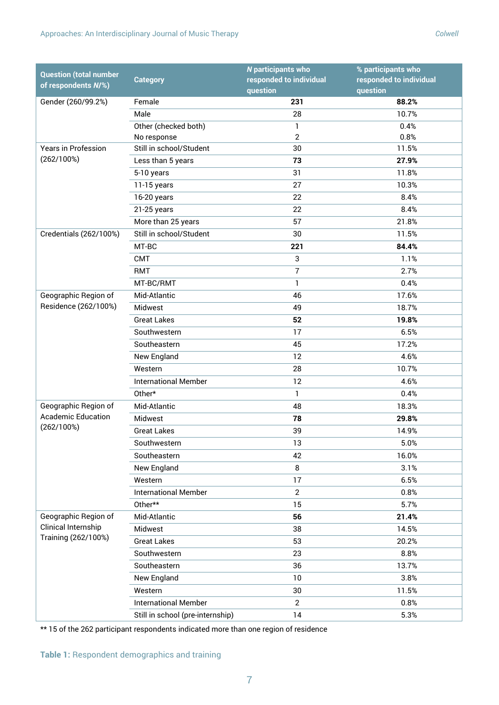|                                                      |                                  | <b>N</b> participants who | % participants who      |
|------------------------------------------------------|----------------------------------|---------------------------|-------------------------|
| <b>Question (total number</b><br>of respondents N/%) | <b>Category</b>                  | responded to individual   | responded to individual |
|                                                      |                                  | question                  | question                |
| Gender (260/99.2%)                                   | Female                           | 231                       | 88.2%                   |
|                                                      | Male                             | 28                        | 10.7%                   |
|                                                      | Other (checked both)             | $\mathbf{1}$              | 0.4%                    |
|                                                      | No response                      | $\overline{2}$            | 0.8%                    |
| Years in Profession                                  | Still in school/Student          | 30                        | 11.5%                   |
| (262/100%)                                           | Less than 5 years                | 73                        | 27.9%                   |
|                                                      | 5-10 years                       | 31                        | 11.8%                   |
|                                                      | 11-15 years                      | 27                        | 10.3%                   |
|                                                      | 16-20 years                      | 22                        | 8.4%                    |
|                                                      | 21-25 years                      | 22                        | 8.4%                    |
|                                                      | More than 25 years               | 57                        | 21.8%                   |
| Credentials (262/100%)                               | Still in school/Student          | 30                        | 11.5%                   |
|                                                      | MT-BC                            | 221                       | 84.4%                   |
|                                                      | <b>CMT</b>                       | 3                         | 1.1%                    |
|                                                      | <b>RMT</b>                       | $\overline{7}$            | 2.7%                    |
|                                                      | MT-BC/RMT                        | $\mathbf{1}$              | 0.4%                    |
| Geographic Region of                                 | Mid-Atlantic                     | 46                        | 17.6%                   |
| Residence (262/100%)                                 | Midwest                          | 49                        | 18.7%                   |
|                                                      | <b>Great Lakes</b>               | 52                        | 19.8%                   |
|                                                      | Southwestern                     | 17                        | 6.5%                    |
|                                                      | Southeastern                     | 45                        | 17.2%                   |
|                                                      | New England                      | 12                        | 4.6%                    |
|                                                      | Western                          | 28                        | 10.7%                   |
|                                                      | <b>International Member</b>      | 12                        | 4.6%                    |
|                                                      | Other*                           | $\mathbf{1}$              | 0.4%                    |
| Geographic Region of                                 | Mid-Atlantic                     | 48                        | 18.3%                   |
| <b>Academic Education</b>                            | Midwest                          | 78                        | 29.8%                   |
| (262/100%)                                           | <b>Great Lakes</b>               | 39                        | 14.9%                   |
|                                                      | Southwestern                     | 13                        | 5.0%                    |
|                                                      | Southeastern                     | 42                        | 16.0%                   |
|                                                      | New England                      | 8                         | 3.1%                    |
|                                                      | Western                          | 17                        | 6.5%                    |
|                                                      | <b>International Member</b>      | $\overline{2}$            | 0.8%                    |
|                                                      | Other**                          | 15                        | 5.7%                    |
| Geographic Region of                                 | Mid-Atlantic                     | 56                        | 21.4%                   |
| Clinical Internship<br>Training (262/100%)           | Midwest                          | 38                        | 14.5%                   |
|                                                      | <b>Great Lakes</b>               | 53                        | 20.2%                   |
|                                                      | Southwestern                     | 23                        | 8.8%                    |
|                                                      | Southeastern                     | 36                        | 13.7%                   |
|                                                      | New England                      | 10                        | 3.8%                    |
|                                                      | Western                          | 30                        | 11.5%                   |
|                                                      | <b>International Member</b>      | $\overline{2}$            | 0.8%                    |
|                                                      | Still in school (pre-internship) | 14                        | 5.3%                    |

\*\* 15 of the 262 participant respondents indicated more than one region of residence

**Table 1:** Respondent demographics and training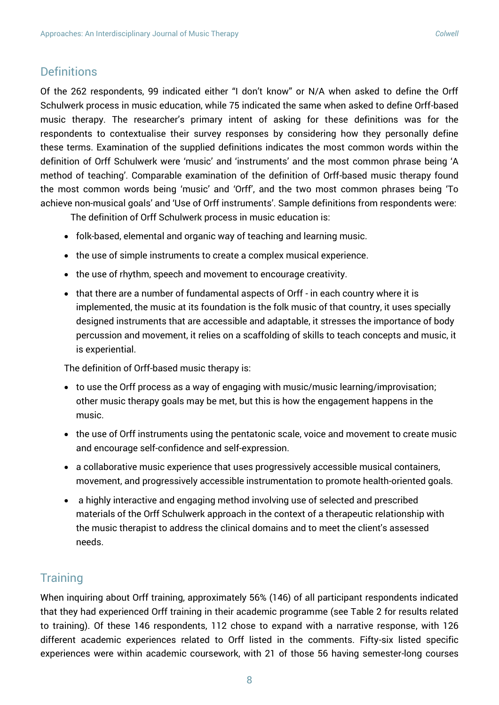# **Definitions**

Of the 262 respondents, 99 indicated either "I don't know" or N/A when asked to define the Orff Schulwerk process in music education, while 75 indicated the same when asked to define Orff-based music therapy. The researcher's primary intent of asking for these definitions was for the respondents to contextualise their survey responses by considering how they personally define these terms. Examination of the supplied definitions indicates the most common words within the definition of Orff Schulwerk were 'music' and 'instruments' and the most common phrase being 'A method of teaching'. Comparable examination of the definition of Orff-based music therapy found the most common words being 'music' and 'Orff', and the two most common phrases being 'To achieve non-musical goals' and 'Use of Orff instruments'. Sample definitions from respondents were:

The definition of Orff Schulwerk process in music education is:

- folk-based, elemental and organic way of teaching and learning music.
- the use of simple instruments to create a complex musical experience.
- the use of rhythm, speech and movement to encourage creativity.
- that there are a number of fundamental aspects of Orff in each country where it is implemented, the music at its foundation is the folk music of that country, it uses specially designed instruments that are accessible and adaptable, it stresses the importance of body percussion and movement, it relies on a scaffolding of skills to teach concepts and music, it is experiential.

The definition of Orff-based music therapy is:

- to use the Orff process as a way of engaging with music/music learning/improvisation; other music therapy goals may be met, but this is how the engagement happens in the music.
- the use of Orff instruments using the pentatonic scale, voice and movement to create music and encourage self-confidence and self-expression.
- a collaborative music experience that uses progressively accessible musical containers, movement, and progressively accessible instrumentation to promote health-oriented goals.
- a highly interactive and engaging method involving use of selected and prescribed materials of the Orff Schulwerk approach in the context of a therapeutic relationship with the music therapist to address the clinical domains and to meet the client's assessed needs.

# **Training**

When inquiring about Orff training, approximately 56% (146) of all participant respondents indicated that they had experienced Orff training in their academic programme (see Table 2 for results related to training). Of these 146 respondents, 112 chose to expand with a narrative response, with 126 different academic experiences related to Orff listed in the comments. Fifty-six listed specific experiences were within academic coursework, with 21 of those 56 having semester-long courses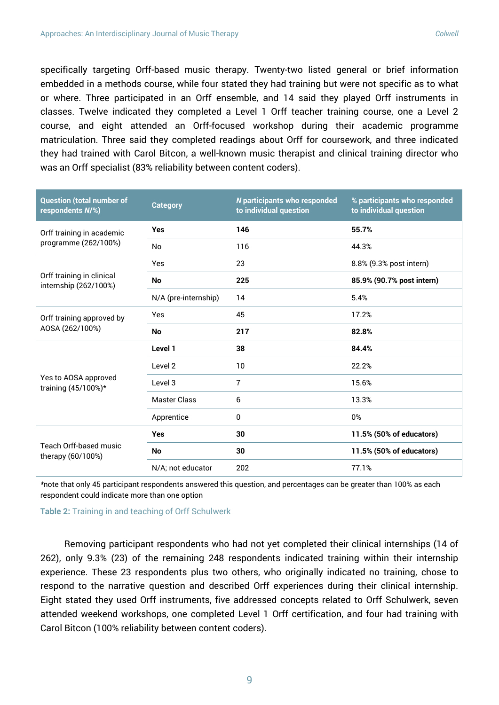specifically targeting Orff-based music therapy. Twenty-two listed general or brief information embedded in a methods course, while four stated they had training but were not specific as to what or where. Three participated in an Orff ensemble, and 14 said they played Orff instruments in classes. Twelve indicated they completed a Level 1 Orff teacher training course, one a Level 2 course, and eight attended an Orff-focused workshop during their academic programme matriculation. Three said they completed readings about Orff for coursework, and three indicated they had trained with Carol Bitcon, a well-known music therapist and clinical training director who was an Orff specialist (83% reliability between content coders).

| <b>Question (total number of</b><br>respondents N/%) | <b>Category</b>      | <b>N</b> participants who responded<br>to individual question | % participants who responded<br>to individual question |
|------------------------------------------------------|----------------------|---------------------------------------------------------------|--------------------------------------------------------|
| Orff training in academic<br>programme (262/100%)    | <b>Yes</b>           | 146                                                           | 55.7%                                                  |
|                                                      | No                   | 116                                                           | 44.3%                                                  |
|                                                      | Yes                  | 23                                                            | 8.8% (9.3% post intern)                                |
| Orff training in clinical<br>internship (262/100%)   | No                   | 225                                                           | 85.9% (90.7% post intern)                              |
|                                                      | N/A (pre-internship) | 14                                                            | 5.4%                                                   |
| Orff training approved by                            | Yes                  | 45                                                            | 17.2%                                                  |
| AOSA (262/100%)                                      | No                   | 217                                                           | 82.8%                                                  |
|                                                      | Level 1              | 38                                                            | 84.4%                                                  |
|                                                      | Level 2              | 10                                                            | 22.2%                                                  |
| Yes to AOSA approved<br>training (45/100%)*          | Level 3              | $\overline{7}$                                                | 15.6%                                                  |
|                                                      | <b>Master Class</b>  | 6                                                             | 13.3%                                                  |
|                                                      | Apprentice           | 0                                                             | 0%                                                     |
|                                                      | <b>Yes</b>           | 30                                                            | 11.5% (50% of educators)                               |
| Teach Orff-based music<br>therapy (60/100%)          | No                   | 30<br>11.5% (50% of educators)                                |                                                        |
|                                                      | N/A; not educator    | 202                                                           | 77.1%                                                  |

*\**note that only 45 participant respondents answered this question, and percentages can be greater than 100% as each respondent could indicate more than one option

**Table 2:** Training in and teaching of Orff Schulwerk

Removing participant respondents who had not yet completed their clinical internships (14 of 262), only 9.3% (23) of the remaining 248 respondents indicated training within their internship experience. These 23 respondents plus two others, who originally indicated no training, chose to respond to the narrative question and described Orff experiences during their clinical internship. Eight stated they used Orff instruments, five addressed concepts related to Orff Schulwerk, seven attended weekend workshops, one completed Level 1 Orff certification, and four had training with Carol Bitcon (100% reliability between content coders).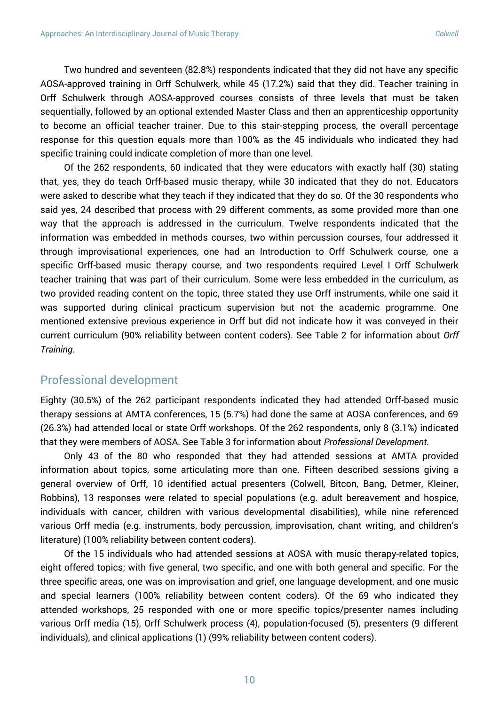Two hundred and seventeen (82.8%) respondents indicated that they did not have any specific AOSA-approved training in Orff Schulwerk, while 45 (17.2%) said that they did. Teacher training in Orff Schulwerk through AOSA-approved courses consists of three levels that must be taken sequentially, followed by an optional extended Master Class and then an apprenticeship opportunity to become an official teacher trainer. Due to this stair-stepping process, the overall percentage response for this question equals more than 100% as the 45 individuals who indicated they had specific training could indicate completion of more than one level.

Of the 262 respondents, 60 indicated that they were educators with exactly half (30) stating that, yes, they do teach Orff-based music therapy, while 30 indicated that they do not. Educators were asked to describe what they teach if they indicated that they do so. Of the 30 respondents who said yes, 24 described that process with 29 different comments, as some provided more than one way that the approach is addressed in the curriculum. Twelve respondents indicated that the information was embedded in methods courses, two within percussion courses, four addressed it through improvisational experiences, one had an Introduction to Orff Schulwerk course, one a specific Orff-based music therapy course, and two respondents required Level I Orff Schulwerk teacher training that was part of their curriculum. Some were less embedded in the curriculum, as two provided reading content on the topic, three stated they use Orff instruments, while one said it was supported during clinical practicum supervision but not the academic programme. One mentioned extensive previous experience in Orff but did not indicate how it was conveyed in their current curriculum (90% reliability between content coders). See Table 2 for information about *Orff Training*.

## Professional development

Eighty (30.5%) of the 262 participant respondents indicated they had attended Orff-based music therapy sessions at AMTA conferences, 15 (5.7%) had done the same at AOSA conferences, and 69 (26.3%) had attended local or state Orff workshops. Of the 262 respondents, only 8 (3.1%) indicated that they were members of AOSA. See Table 3 for information about *Professional Development.*

Only 43 of the 80 who responded that they had attended sessions at AMTA provided information about topics, some articulating more than one. Fifteen described sessions giving a general overview of Orff, 10 identified actual presenters (Colwell, Bitcon, Bang, Detmer, Kleiner, Robbins), 13 responses were related to special populations (e.g. adult bereavement and hospice, individuals with cancer, children with various developmental disabilities), while nine referenced various Orff media (e.g. instruments, body percussion, improvisation, chant writing, and children's literature) (100% reliability between content coders).

Of the 15 individuals who had attended sessions at AOSA with music therapy-related topics, eight offered topics; with five general, two specific, and one with both general and specific. For the three specific areas, one was on improvisation and grief, one language development, and one music and special learners (100% reliability between content coders). Of the 69 who indicated they attended workshops, 25 responded with one or more specific topics/presenter names including various Orff media (15), Orff Schulwerk process (4), population-focused (5), presenters (9 different individuals), and clinical applications (1) (99% reliability between content coders).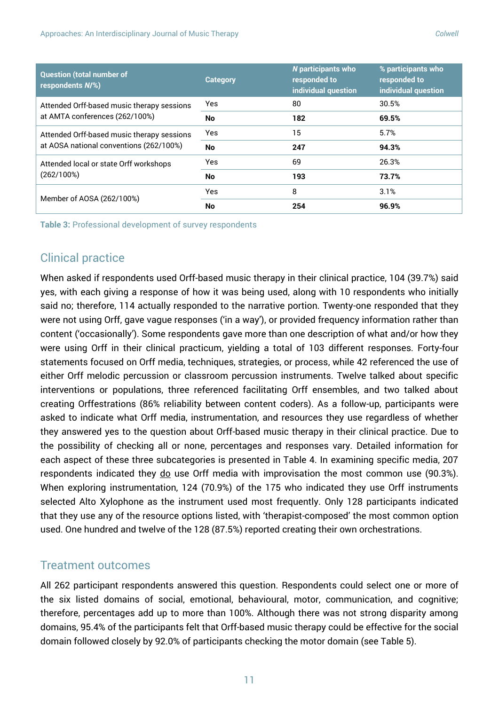| <b>Question (total number of</b><br>respondents N/%) | <b>Category</b> | N participants who<br>responded to<br>individual question | % participants who<br>responded to<br>individual question |
|------------------------------------------------------|-----------------|-----------------------------------------------------------|-----------------------------------------------------------|
| Attended Orff-based music therapy sessions           | Yes             | 80                                                        | 30.5%                                                     |
| at AMTA conferences (262/100%)                       | No              | 182                                                       | 69.5%                                                     |
| Attended Orff-based music therapy sessions           | Yes             | 15                                                        | 5.7%                                                      |
| at AOSA national conventions (262/100%)              | <b>No</b>       | 247                                                       | 94.3%                                                     |
| Attended local or state Orff workshops               | Yes             | 69                                                        | 26.3%                                                     |
| (262/100%)                                           | No              | 193                                                       | 73.7%                                                     |
|                                                      | Yes             | 8                                                         | 3.1%                                                      |
| Member of AOSA (262/100%)                            | <b>No</b>       | 254                                                       | 96.9%                                                     |

**Table 3:** Professional development of survey respondents

# Clinical practice

When asked if respondents used Orff-based music therapy in their clinical practice, 104 (39.7%) said yes, with each giving a response of how it was being used, along with 10 respondents who initially said no; therefore, 114 actually responded to the narrative portion. Twenty-one responded that they were not using Orff, gave vague responses ('in a way'), or provided frequency information rather than content ('occasionally'). Some respondents gave more than one description of what and/or how they were using Orff in their clinical practicum, yielding a total of 103 different responses. Forty-four statements focused on Orff media, techniques, strategies, or process, while 42 referenced the use of either Orff melodic percussion or classroom percussion instruments. Twelve talked about specific interventions or populations, three referenced facilitating Orff ensembles, and two talked about creating Orffestrations (86% reliability between content coders). As a follow-up, participants were asked to indicate what Orff media, instrumentation, and resources they use regardless of whether they answered yes to the question about Orff-based music therapy in their clinical practice. Due to the possibility of checking all or none, percentages and responses vary. Detailed information for each aspect of these three subcategories is presented in Table 4. In examining specific media, 207 respondents indicated they do use Orff media with improvisation the most common use (90.3%). When exploring instrumentation, 124 (70.9%) of the 175 who indicated they use Orff instruments selected Alto Xylophone as the instrument used most frequently. Only 128 participants indicated that they use any of the resource options listed, with 'therapist-composed' the most common option used. One hundred and twelve of the 128 (87.5%) reported creating their own orchestrations.

# Treatment outcomes

All 262 participant respondents answered this question. Respondents could select one or more of the six listed domains of social, emotional, behavioural, motor, communication, and cognitive; therefore, percentages add up to more than 100%. Although there was not strong disparity among domains, 95.4% of the participants felt that Orff-based music therapy could be effective for the social domain followed closely by 92.0% of participants checking the motor domain (see Table 5).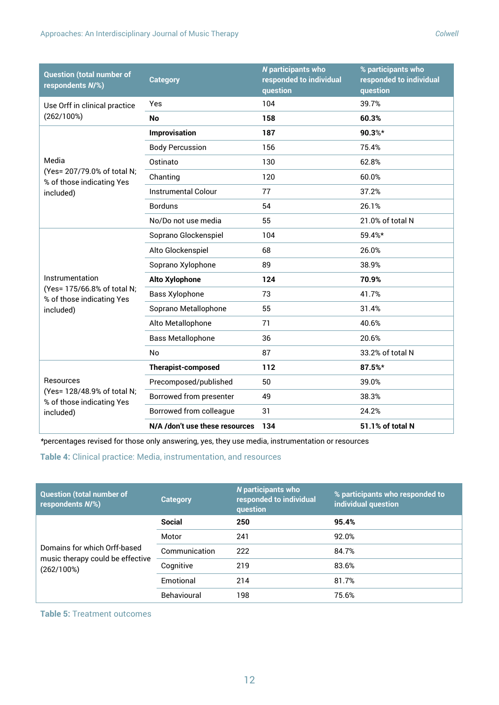| <b>Question (total number of</b><br>respondents N/%)     | <b>Category</b>                | <b>N</b> participants who<br>responded to individual<br>question | % participants who<br>responded to individual<br>question |
|----------------------------------------------------------|--------------------------------|------------------------------------------------------------------|-----------------------------------------------------------|
| Use Orff in clinical practice                            | Yes                            | 104                                                              | 39.7%                                                     |
| (262/100%)                                               | No                             | 158                                                              | 60.3%                                                     |
|                                                          | Improvisation                  | 187                                                              | 90.3%*                                                    |
|                                                          | <b>Body Percussion</b>         | 156                                                              | 75.4%                                                     |
| Media                                                    | Ostinato                       | 130                                                              | 62.8%                                                     |
| (Yes= 207/79.0% of total N;<br>% of those indicating Yes | Chanting                       | 120                                                              | 60.0%                                                     |
| included)                                                | <b>Instrumental Colour</b>     | 77                                                               | 37.2%                                                     |
|                                                          | <b>Borduns</b>                 | 54                                                               | 26.1%                                                     |
|                                                          | No/Do not use media            | 55                                                               | 21.0% of total N                                          |
|                                                          | Soprano Glockenspiel           | 104                                                              | 59.4%*                                                    |
|                                                          | Alto Glockenspiel              | 68                                                               | 26.0%                                                     |
|                                                          | Soprano Xylophone              | 89                                                               | 38.9%                                                     |
| Instrumentation                                          | <b>Alto Xylophone</b>          | 124                                                              | 70.9%                                                     |
| (Yes= 175/66.8% of total N;<br>% of those indicating Yes | <b>Bass Xylophone</b>          | 73                                                               | 41.7%                                                     |
| included)                                                | Soprano Metallophone           | 55                                                               | 31.4%                                                     |
|                                                          | Alto Metallophone              | 71                                                               | 40.6%                                                     |
|                                                          | <b>Bass Metallophone</b>       | 36                                                               | 20.6%                                                     |
|                                                          | <b>No</b>                      | 87                                                               | 33.2% of total N                                          |
|                                                          | <b>Therapist-composed</b>      | 112                                                              | 87.5%*                                                    |
| <b>Resources</b>                                         | Precomposed/published          | 50                                                               | 39.0%                                                     |
| (Yes= 128/48.9% of total N;<br>% of those indicating Yes | Borrowed from presenter        | 49                                                               | 38.3%                                                     |
| included)                                                | Borrowed from colleague        | 31                                                               | 24.2%                                                     |
|                                                          | N/A /don't use these resources | 134                                                              | 51.1% of total N                                          |

*\**percentages revised for those only answering, yes, they use media, instrumentation or resources

#### **Table 4:** Clinical practice: Media, instrumentation, and resources

| <b>Question (total number of</b><br>respondents N/%) | <b>Category</b> | <b>N</b> participants who<br>responded to individual<br>question | % participants who responded to<br>individual question |
|------------------------------------------------------|-----------------|------------------------------------------------------------------|--------------------------------------------------------|
|                                                      | <b>Social</b>   | 250                                                              | 95.4%                                                  |
|                                                      | Motor           | 241                                                              | 92.0%                                                  |
| Domains for which Orff-based                         | Communication   | 222                                                              | 84.7%                                                  |
| music therapy could be effective<br>(262/100%)       | Cognitive       | 219                                                              | 83.6%                                                  |
|                                                      | Emotional       | 214                                                              | 81.7%                                                  |
|                                                      | Behavioural     | 198                                                              | 75.6%                                                  |

**Table 5:** Treatment outcomes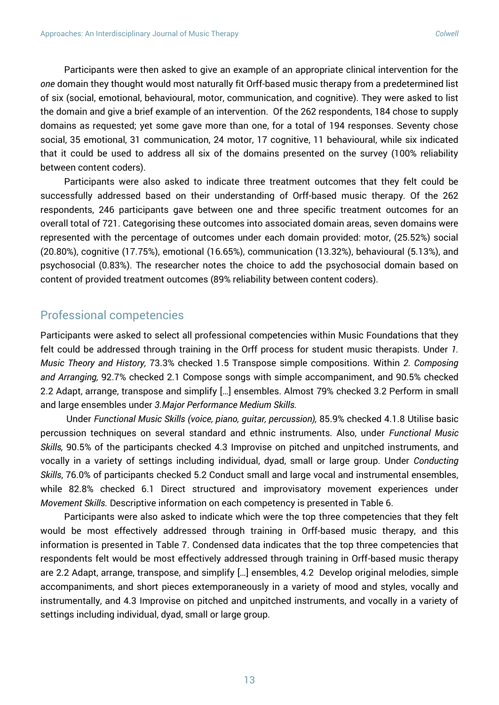Participants were then asked to give an example of an appropriate clinical intervention for the *one* domain they thought would most naturally fit Orff-based music therapy from a predetermined list of six (social, emotional, behavioural, motor, communication, and cognitive). They were asked to list the domain and give a brief example of an intervention. Of the 262 respondents, 184 chose to supply domains as requested; yet some gave more than one, for a total of 194 responses. Seventy chose social, 35 emotional, 31 communication, 24 motor, 17 cognitive, 11 behavioural, while six indicated that it could be used to address all six of the domains presented on the survey (100% reliability between content coders).

Participants were also asked to indicate three treatment outcomes that they felt could be successfully addressed based on their understanding of Orff-based music therapy. Of the 262 respondents, 246 participants gave between one and three specific treatment outcomes for an overall total of 721. Categorising these outcomes into associated domain areas, seven domains were represented with the percentage of outcomes under each domain provided: motor, (25.52%) social (20.80%), cognitive (17.75%), emotional (16.65%), communication (13.32%), behavioural (5.13%), and psychosocial (0.83%). The researcher notes the choice to add the psychosocial domain based on content of provided treatment outcomes (89% reliability between content coders).

## Professional competencies

Participants were asked to select all professional competencies within Music Foundations that they felt could be addressed through training in the Orff process for student music therapists. Under *1. Music Theory and History,* 73.3% checked 1.5 Transpose simple compositions. Within *2. Composing and Arranging,* 92.7% checked 2.1 Compose songs with simple accompaniment, and 90.5% checked 2.2 Adapt, arrange, transpose and simplify […] ensembles. Almost 79% checked 3.2 Perform in small and large ensembles under *3.Major Performance Medium Skills.*

Under *Functional Music Skills (voice, piano, guitar, percussion),* 85.9% checked 4.1.8 Utilise basic percussion techniques on several standard and ethnic instruments. Also, under *Functional Music Skills,* 90.5% of the participants checked 4.3 Improvise on pitched and unpitched instruments, and vocally in a variety of settings including individual, dyad, small or large group. Under *Conducting Skills*, 76.0% of participants checked 5.2 Conduct small and large vocal and instrumental ensembles, while 82.8% checked 6.1 Direct structured and improvisatory movement experiences under *Movement Skills.* Descriptive information on each competency is presented in Table 6.

Participants were also asked to indicate which were the top three competencies that they felt would be most effectively addressed through training in Orff-based music therapy, and this information is presented in Table 7. Condensed data indicates that the top three competencies that respondents felt would be most effectively addressed through training in Orff-based music therapy are 2.2 Adapt, arrange, transpose, and simplify […] ensembles, 4.2 Develop original melodies, simple accompaniments, and short pieces extemporaneously in a variety of mood and styles, vocally and instrumentally, and 4.3 Improvise on pitched and unpitched instruments, and vocally in a variety of settings including individual, dyad, small or large group.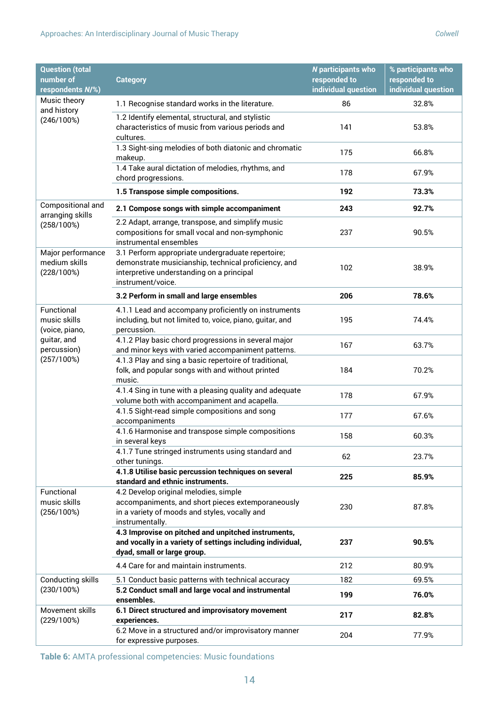| <b>Question (total</b><br>number of<br>respondents N/%) | <b>Category</b>                                                                                                                                                             | <b>N</b> participants who<br>responded to<br>individual question | % participants who<br>responded to<br>individual question |
|---------------------------------------------------------|-----------------------------------------------------------------------------------------------------------------------------------------------------------------------------|------------------------------------------------------------------|-----------------------------------------------------------|
| Music theory<br>and history                             | 1.1 Recognise standard works in the literature.                                                                                                                             | 86                                                               | 32.8%                                                     |
| (246/100%)                                              | 1.2 Identify elemental, structural, and stylistic<br>characteristics of music from various periods and<br>cultures.                                                         | 141                                                              | 53.8%                                                     |
|                                                         | 1.3 Sight-sing melodies of both diatonic and chromatic<br>makeup.                                                                                                           | 175                                                              | 66.8%                                                     |
|                                                         | 1.4 Take aural dictation of melodies, rhythms, and<br>chord progressions.                                                                                                   | 178                                                              | 67.9%                                                     |
|                                                         | 1.5 Transpose simple compositions.                                                                                                                                          | 192                                                              | 73.3%                                                     |
| Compositional and<br>arranging skills                   | 2.1 Compose songs with simple accompaniment                                                                                                                                 | 243                                                              | 92.7%                                                     |
| (258/100%)                                              | 2.2 Adapt, arrange, transpose, and simplify music<br>compositions for small vocal and non-symphonic<br>instrumental ensembles                                               | 237                                                              | 90.5%                                                     |
| Major performance<br>medium skills<br>(228/100%)        | 3.1 Perform appropriate undergraduate repertoire;<br>demonstrate musicianship, technical proficiency, and<br>interpretive understanding on a principal<br>instrument/voice. | 102                                                              | 38.9%                                                     |
|                                                         | 3.2 Perform in small and large ensembles                                                                                                                                    | 206                                                              | 78.6%                                                     |
| Functional<br>music skills<br>(voice, piano,            | 4.1.1 Lead and accompany proficiently on instruments<br>including, but not limited to, voice, piano, guitar, and<br>percussion.                                             | 195                                                              | 74.4%                                                     |
| guitar, and<br>percussion)                              | 4.1.2 Play basic chord progressions in several major<br>and minor keys with varied accompaniment patterns.                                                                  | 167                                                              | 63.7%                                                     |
| (257/100%)                                              | 4.1.3 Play and sing a basic repertoire of traditional,<br>folk, and popular songs with and without printed<br>music.                                                        | 184                                                              | 70.2%                                                     |
|                                                         | 4.1.4 Sing in tune with a pleasing quality and adequate<br>volume both with accompaniment and acapella.                                                                     | 178                                                              | 67.9%                                                     |
|                                                         | 4.1.5 Sight-read simple compositions and song<br>accompaniments                                                                                                             | 177                                                              | 67.6%                                                     |
|                                                         | 4.1.6 Harmonise and transpose simple compositions<br>in several keys                                                                                                        | 158                                                              | 60.3%                                                     |
|                                                         | 4.1.7 Tune stringed instruments using standard and<br>other tunings.                                                                                                        | 62                                                               | 23.7%                                                     |
|                                                         | 4.1.8 Utilise basic percussion techniques on several<br>standard and ethnic instruments.                                                                                    | 225                                                              | 85.9%                                                     |
| Functional<br>music skills<br>(256/100%)                | 4.2 Develop original melodies, simple<br>accompaniments, and short pieces extemporaneously<br>in a variety of moods and styles, vocally and<br>instrumentally.              | 230                                                              | 87.8%                                                     |
|                                                         | 4.3 Improvise on pitched and unpitched instruments,<br>and vocally in a variety of settings including individual,<br>dyad, small or large group.                            | 237                                                              | 90.5%                                                     |
|                                                         | 4.4 Care for and maintain instruments.                                                                                                                                      | 212                                                              | 80.9%                                                     |
| Conducting skills                                       | 5.1 Conduct basic patterns with technical accuracy                                                                                                                          | 182                                                              | 69.5%                                                     |
| (230/100%)                                              | 5.2 Conduct small and large vocal and instrumental<br>ensembles.                                                                                                            | 199                                                              | 76.0%                                                     |
| Movement skills<br>(229/100%)                           | 6.1 Direct structured and improvisatory movement<br>experiences.                                                                                                            | 217                                                              | 82.8%                                                     |
|                                                         | 6.2 Move in a structured and/or improvisatory manner<br>for expressive purposes.                                                                                            | 204                                                              | 77.9%                                                     |

**Table 6:** AMTA professional competencies: Music foundations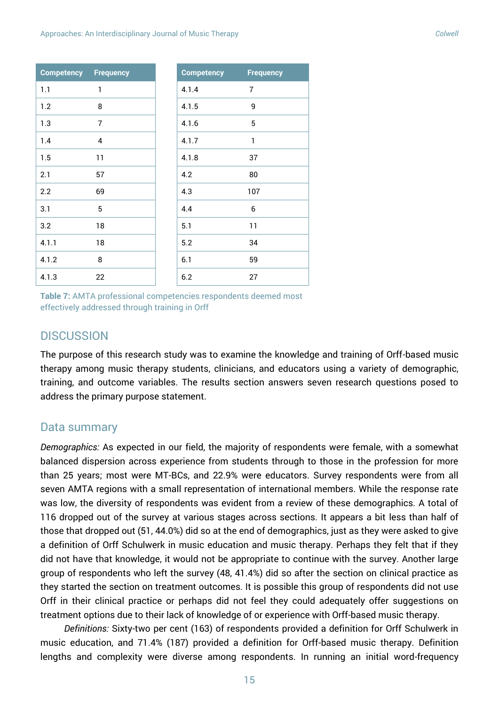| <b>Competency Frequency</b> |                | <b>Competency</b> | <b>Frequency</b> |
|-----------------------------|----------------|-------------------|------------------|
| 1.1                         | 1              | 4.1.4             | $\overline{7}$   |
| 1.2                         | 8              | 4.1.5             | 9                |
| 1.3                         | $\overline{7}$ | 4.1.6             | 5                |
| 1.4                         | 4              | 4.1.7             | $\mathbf{1}$     |
| 1.5                         | 11             | 4.1.8             | 37               |
| 2.1                         | 57             | 4.2               | 80               |
| 2.2                         | 69             | 4.3               | 107              |
| 3.1                         | 5              | 4.4               | 6                |
| 3.2                         | 18             | 5.1               | 11               |
| 4.1.1                       | 18             | 5.2               | 34               |
| 4.1.2                       | 8              | 6.1               | 59               |
| 4.1.3                       | 22             | 6.2               | 27               |

**Table 7:** AMTA professional competencies respondents deemed most effectively addressed through training in Orff

# **DISCUSSION**

The purpose of this research study was to examine the knowledge and training of Orff-based music therapy among music therapy students, clinicians, and educators using a variety of demographic, training, and outcome variables. The results section answers seven research questions posed to address the primary purpose statement.

### Data summary

*Demographics:* As expected in our field, the majority of respondents were female, with a somewhat balanced dispersion across experience from students through to those in the profession for more than 25 years; most were MT-BCs, and 22.9% were educators. Survey respondents were from all seven AMTA regions with a small representation of international members. While the response rate was low, the diversity of respondents was evident from a review of these demographics. A total of 116 dropped out of the survey at various stages across sections. It appears a bit less than half of those that dropped out (51, 44.0%) did so at the end of demographics, just as they were asked to give a definition of Orff Schulwerk in music education and music therapy. Perhaps they felt that if they did not have that knowledge, it would not be appropriate to continue with the survey. Another large group of respondents who left the survey (48, 41.4%) did so after the section on clinical practice as they started the section on treatment outcomes. It is possible this group of respondents did not use Orff in their clinical practice or perhaps did not feel they could adequately offer suggestions on treatment options due to their lack of knowledge of or experience with Orff-based music therapy.

*Definitions:* Sixty-two per cent (163) of respondents provided a definition for Orff Schulwerk in music education, and 71.4% (187) provided a definition for Orff-based music therapy. Definition lengths and complexity were diverse among respondents. In running an initial word-frequency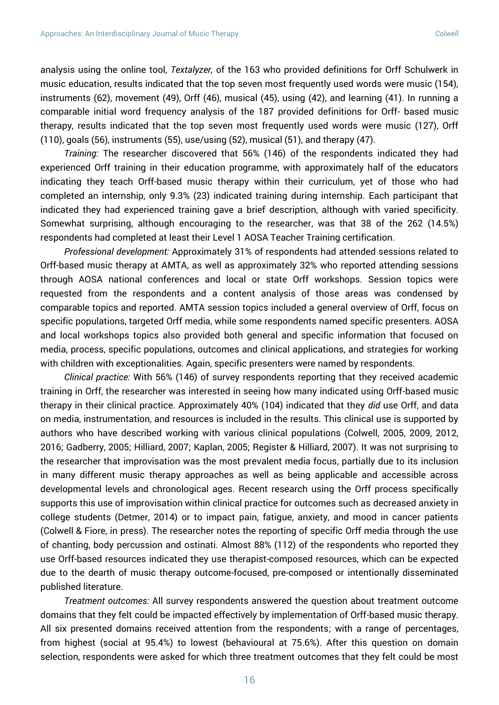analysis using the online tool, *Textalyzer,* of the 163 who provided definitions for Orff Schulwerk in music education, results indicated that the top seven most frequently used words were music (154), instruments (62), movement (49), Orff (46), musical (45), using (42), and learning (41). In running a comparable initial word frequency analysis of the 187 provided definitions for Orff- based music therapy, results indicated that the top seven most frequently used words were music (127), Orff (110), goals (56), instruments (55), use/using (52), musical (51), and therapy (47).

*Training:* The researcher discovered that 56% (146) of the respondents indicated they had experienced Orff training in their education programme, with approximately half of the educators indicating they teach Orff-based music therapy within their curriculum, yet of those who had completed an internship, only 9.3% (23) indicated training during internship. Each participant that indicated they had experienced training gave a brief description, although with varied specificity. Somewhat surprising, although encouraging to the researcher, was that 38 of the 262 (14.5%) respondents had completed at least their Level 1 AOSA Teacher Training certification.

*Professional development:* Approximately 31% of respondents had attended sessions related to Orff-based music therapy at AMTA, as well as approximately 32% who reported attending sessions through AOSA national conferences and local or state Orff workshops. Session topics were requested from the respondents and a content analysis of those areas was condensed by comparable topics and reported. AMTA session topics included a general overview of Orff, focus on specific populations, targeted Orff media, while some respondents named specific presenters. AOSA and local workshops topics also provided both general and specific information that focused on media, process, specific populations, outcomes and clinical applications, and strategies for working with children with exceptionalities. Again, specific presenters were named by respondents.

*Clinical practice:* With 56% (146) of survey respondents reporting that they received academic training in Orff, the researcher was interested in seeing how many indicated using Orff-based music therapy in their clinical practice. Approximately 40% (104) indicated that they *did* use Orff, and data on media, instrumentation, and resources is included in the results. This clinical use is supported by authors who have described working with various clinical populations (Colwell, 2005, 2009, 2012, 2016; Gadberry, 2005; Hilliard, 2007; Kaplan, 2005; Register & Hilliard, 2007). It was not surprising to the researcher that improvisation was the most prevalent media focus, partially due to its inclusion in many different music therapy approaches as well as being applicable and accessible across developmental levels and chronological ages. Recent research using the Orff process specifically supports this use of improvisation within clinical practice for outcomes such as decreased anxiety in college students (Detmer, 2014) or to impact pain, fatigue, anxiety, and mood in cancer patients (Colwell & Fiore, in press). The researcher notes the reporting of specific Orff media through the use of chanting, body percussion and ostinati. Almost 88% (112) of the respondents who reported they use Orff-based resources indicated they use therapist-composed resources, which can be expected due to the dearth of music therapy outcome-focused, pre-composed or intentionally disseminated published literature.

*Treatment outcomes:* All survey respondents answered the question about treatment outcome domains that they felt could be impacted effectively by implementation of Orff-based music therapy. All six presented domains received attention from the respondents; with a range of percentages, from highest (social at 95.4%) to lowest (behavioural at 75.6%). After this question on domain selection, respondents were asked for which three treatment outcomes that they felt could be most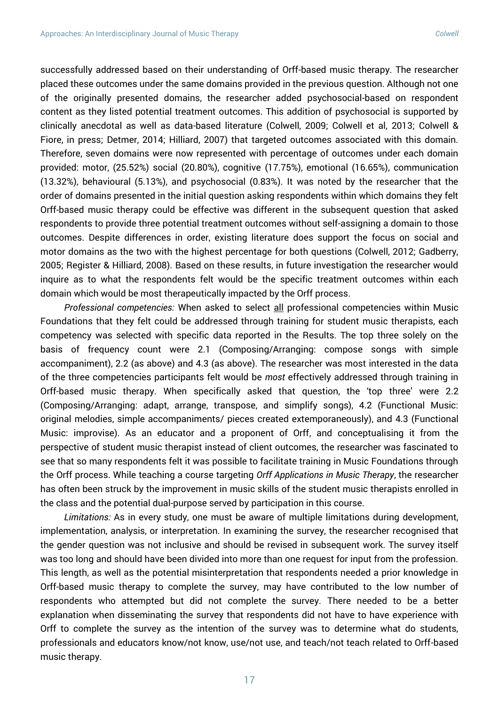successfully addressed based on their understanding of Orff-based music therapy. The researcher placed these outcomes under the same domains provided in the previous question. Although not one of the originally presented domains, the researcher added psychosocial-based on respondent content as they listed potential treatment outcomes. This addition of psychosocial is supported by clinically anecdotal as well as data-based literature (Colwell, 2009; Colwell et al, 2013; Colwell & Fiore, in press; Detmer, 2014; Hilliard, 2007) that targeted outcomes associated with this domain. Therefore, seven domains were now represented with percentage of outcomes under each domain provided: motor, (25.52%) social (20.80%), cognitive (17.75%), emotional (16.65%), communication (13.32%), behavioural (5.13%), and psychosocial (0.83%). It was noted by the researcher that the order of domains presented in the initial question asking respondents within which domains they felt Orff-based music therapy could be effective was different in the subsequent question that asked respondents to provide three potential treatment outcomes without self-assigning a domain to those outcomes. Despite differences in order, existing literature does support the focus on social and motor domains as the two with the highest percentage for both questions (Colwell, 2012; Gadberry, 2005; Register & Hilliard, 2008). Based on these results, in future investigation the researcher would inquire as to what the respondents felt would be the specific treatment outcomes within each domain which would be most therapeutically impacted by the Orff process.

*Professional competencies:* When asked to select all professional competencies within Music Foundations that they felt could be addressed through training for student music therapists, each competency was selected with specific data reported in the Results. The top three solely on the basis of frequency count were 2.1 (Composing/Arranging: compose songs with simple accompaniment), 2.2 (as above) and 4.3 (as above). The researcher was most interested in the data of the three competencies participants felt would be *most* effectively addressed through training in Orff-based music therapy. When specifically asked that question, the 'top three' were 2.2 (Composing/Arranging: adapt, arrange, transpose, and simplify songs), 4.2 (Functional Music: original melodies, simple accompaniments/ pieces created extemporaneously), and 4.3 (Functional Music: improvise). As an educator and a proponent of Orff, and conceptualising it from the perspective of student music therapist instead of client outcomes, the researcher was fascinated to see that so many respondents felt it was possible to facilitate training in Music Foundations through the Orff process. While teaching a course targeting *Orff Applications in Music Therapy*, the researcher has often been struck by the improvement in music skills of the student music therapists enrolled in the class and the potential dual-purpose served by participation in this course.

*Limitations:* As in every study, one must be aware of multiple limitations during development, implementation, analysis, or interpretation. In examining the survey, the researcher recognised that the gender question was not inclusive and should be revised in subsequent work. The survey itself was too long and should have been divided into more than one request for input from the profession. This length, as well as the potential misinterpretation that respondents needed a prior knowledge in Orff-based music therapy to complete the survey, may have contributed to the low number of respondents who attempted but did not complete the survey. There needed to be a better explanation when disseminating the survey that respondents did not have to have experience with Orff to complete the survey as the intention of the survey was to determine what do students, professionals and educators know/not know, use/not use, and teach/not teach related to Orff-based music therapy.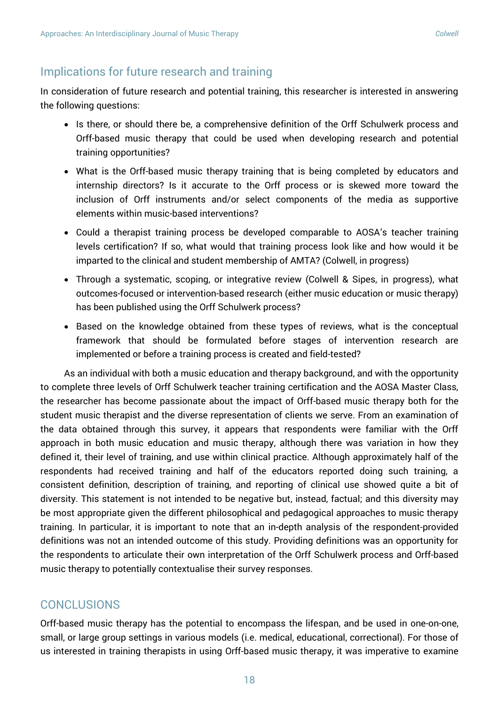# Implications for future research and training

In consideration of future research and potential training, this researcher is interested in answering the following questions:

- Is there, or should there be, a comprehensive definition of the Orff Schulwerk process and Orff-based music therapy that could be used when developing research and potential training opportunities?
- What is the Orff-based music therapy training that is being completed by educators and internship directors? Is it accurate to the Orff process or is skewed more toward the inclusion of Orff instruments and/or select components of the media as supportive elements within music-based interventions?
- Could a therapist training process be developed comparable to AOSA's teacher training levels certification? If so, what would that training process look like and how would it be imparted to the clinical and student membership of AMTA? (Colwell, in progress)
- Through a systematic, scoping, or integrative review (Colwell & Sipes, in progress), what outcomes-focused or intervention-based research (either music education or music therapy) has been published using the Orff Schulwerk process?
- Based on the knowledge obtained from these types of reviews, what is the conceptual framework that should be formulated before stages of intervention research are implemented or before a training process is created and field-tested?

As an individual with both a music education and therapy background, and with the opportunity to complete three levels of Orff Schulwerk teacher training certification and the AOSA Master Class, the researcher has become passionate about the impact of Orff-based music therapy both for the student music therapist and the diverse representation of clients we serve. From an examination of the data obtained through this survey, it appears that respondents were familiar with the Orff approach in both music education and music therapy, although there was variation in how they defined it, their level of training, and use within clinical practice. Although approximately half of the respondents had received training and half of the educators reported doing such training, a consistent definition, description of training, and reporting of clinical use showed quite a bit of diversity. This statement is not intended to be negative but, instead, factual; and this diversity may be most appropriate given the different philosophical and pedagogical approaches to music therapy training. In particular, it is important to note that an in-depth analysis of the respondent-provided definitions was not an intended outcome of this study. Providing definitions was an opportunity for the respondents to articulate their own interpretation of the Orff Schulwerk process and Orff-based music therapy to potentially contextualise their survey responses.

# CONCLUSIONS

Orff-based music therapy has the potential to encompass the lifespan, and be used in one-on-one, small, or large group settings in various models (i.e. medical, educational, correctional). For those of us interested in training therapists in using Orff-based music therapy, it was imperative to examine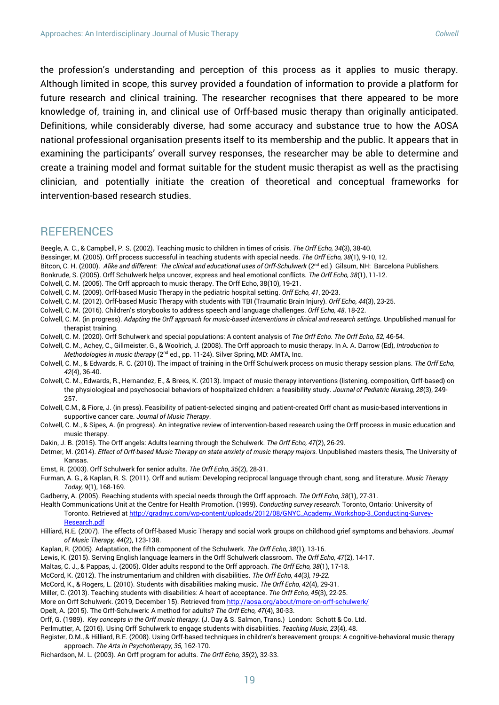the profession's understanding and perception of this process as it applies to music therapy. Although limited in scope, this survey provided a foundation of information to provide a platform for future research and clinical training. The researcher recognises that there appeared to be more knowledge of, training in, and clinical use of Orff-based music therapy than originally anticipated. Definitions, while considerably diverse, had some accuracy and substance true to how the AOSA national professional organisation presents itself to its membership and the public. It appears that in examining the participants' overall survey responses, the researcher may be able to determine and create a training model and format suitable for the student music therapist as well as the practising clinician, and potentially initiate the creation of theoretical and conceptual frameworks for intervention-based research studies.

### **REFERENCES**

- Beegle, A. C., & Campbell, P. S. (2002). Teaching music to children in times of crisis. *The Orff Echo, 34*(3), 38-40.
- Bessinger, M. (2005). Orff process successful in teaching students with special needs. *The Orff Echo, 38*(1), 9-10, 12.
- Bitcon, C. H. (2000). Alike and different: The clinical and educational uses of Orff-Schulwerk (2<sup>nd</sup> ed.) Gilsum, NH: Barcelona Publishers.
- Bonkrude, S. (2005). Orff Schulwerk helps uncover, express and heal emotional conflicts. *The Orff Echo, 38*(1), 11-12.
- Colwell, C. M. (2005). The Orff approach to music therapy. The Orff Echo, 38(10), 19-21.
- Colwell, C. M. (2009). Orff-based Music Therapy in the pediatric hospital setting. *Orff Echo, 41*, 20-23.
- Colwell, C. M. (2012). Orff-based Music Therapy with students with TBI (Traumatic Brain Injury). *Orff Echo, 44*(3), 23-25.
- Colwell, C. M. (2016). Children's storybooks to address speech and language challenges. *Orff Echo, 48*, 18-22.
- Colwell, C. M. (in progress). *Adapting the Orff approach for music-based interventions in clinical and research settings.* Unpublished manual for therapist training.
- Colwell, C. M. (2020). Orff Schulwerk and special populations: A content analysis of *The Orff Echo. The Orff Echo, 52,* 46-54.
- Colwell, C. M., Achey, C., Gillmeister, G., & Woolrich, J. (2008). The Orff approach to music therapy. In A. A. Darrow (Ed), *Introduction to*  Methodologies in music therapy (2<sup>nd</sup> ed., pp. 11-24). Silver Spring, MD: AMTA, Inc.
- Colwell, C. M., & Edwards, R. C. (2010). The impact of training in the Orff Schulwerk process on music therapy session plans. *The Orff Echo, 42*(4), 36-40.
- Colwell, C. M., Edwards, R., Hernandez, E., & Brees, K. (2013). Impact of music therapy interventions (listening, composition, Orff-based) on the physiological and psychosocial behaviors of hospitalized children: a feasibility study. *Journal of Pediatric Nursing, 28*(3), 249- 257.
- Colwell, C.M., & Fiore, J. (in press). Feasibility of patient-selected singing and patient-created Orff chant as music-based interventions in supportive cancer care. *Journal of Music Therapy*.
- Colwell, C. M., & Sipes, A. (in progress). An integrative review of intervention-based research using the Orff process in music education and music therapy.
- Dakin, J. B. (2015). The Orff angels: Adults learning through the Schulwerk. *The Orff Echo, 47*(2), 26-29.
- Detmer, M. (2014). *Effect of Orff-based Music Therapy on state anxiety of music therapy majors.* Unpublished masters thesis, The University of Kansas.
- Ernst, R. (2003). Orff Schulwerk for senior adults. *The Orff Echo, 35*(2), 28-31.
- Furman, A. G., & Kaplan, R. S. (2011). Orff and autism: Developing reciprocal language through chant, song, and literature. *Music Therapy Today, 9*(1), 168-169.
- Gadberry, A. (2005). Reaching students with special needs through the Orff approach. *The Orff Echo, 38*(1), 27-31.
- Health Communications Unit at the Centre for Health Promotion. (1999). *Conducting survey research.* Toronto, Ontario: University of Toronto. Retrieved a[t http://gradnyc.com/wp-content/uploads/2012/08/GNYC\\_Academy\\_Workshop-3\\_Conducting-Survey-](http://gradnyc.com/wp-content/uploads/2012/08/GNYC_Academy_Workshop-3_Conducting-Survey-Research.pdf)[Research.pdf](http://gradnyc.com/wp-content/uploads/2012/08/GNYC_Academy_Workshop-3_Conducting-Survey-Research.pdf)
- Hilliard, R.E. (2007). The effects of Orff-based Music Therapy and social work groups on childhood grief symptoms and behaviors. *Journal of Music Therapy, 44*(2), 123-138.
- Kaplan, R. (2005). Adaptation, the fifth component of the Schulwerk. *The Orff Echo, 38*(1), 13-16.
- Lewis, K. (2015). Serving English language learners in the Orff Schulwerk classroom. *The Orff Echo, 47*(2), 14-17.
- Maltas, C. J., & Pappas, J. (2005). Older adults respond to the Orff approach. *The Orff Echo, 38*(1), 17-18.
- McCord, K. (2012). The instrumentarium and children with disabilities. *The Orff Echo, 44*(3*), 19-22.*
- McCord, K., & Rogers, L. (2010). Students with disabilities making music. *The Orff Echo, 42*(4), 29-31.
- Miller, C. (2013). Teaching students with disabilities: A heart of acceptance. *The Orff Echo, 45*(3), 22-25.
- More on Orff Schulwerk. (2019, December 15). Retrieved from<http://aosa.org/about/more-on-orff-schulwerk/>
- Opelt, A. (2015). The Orff-Schulwerk: A method for adults? *The Orff Echo, 47*(4), 30-33.
- Orff, G. (1989). *Key concepts in the Orff music therapy*. (J. Day & S. Salmon, Trans.) London: Schott & Co. Ltd.
- Perlmutter, A. (2016). Using Orff Schulwerk to engage students with disabilities*. Teaching Music, 23*(4), 48.
- Register, D.M., & Hilliard, R.E. (2008). Using Orff-based techniques in children's bereavement groups: A cognitive-behavioral music therapy approach. *The Arts in Psychotherapy, 35,* 162-170.
- Richardson, M. L. (2003). An Orff program for adults. *The Orff Echo, 35*(2), 32-33.